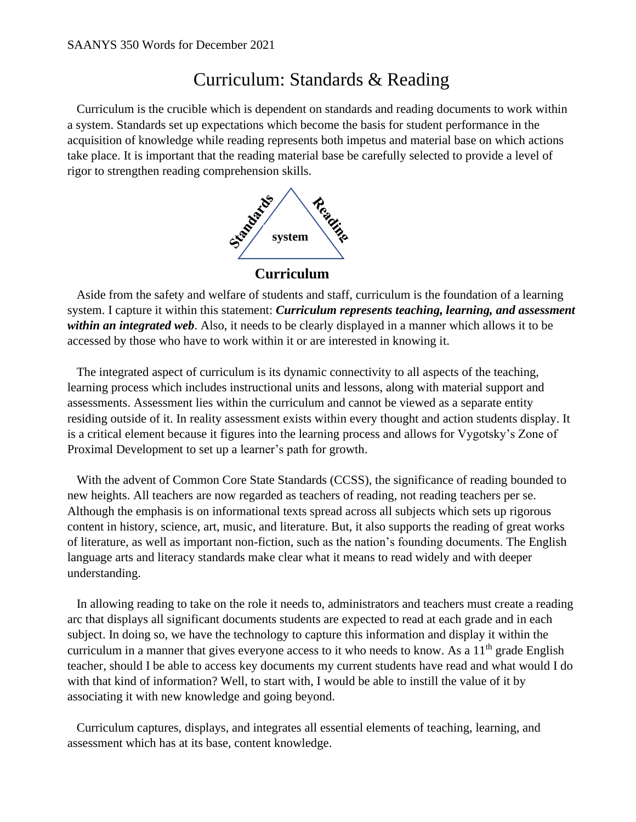## Curriculum: Standards & Reading

 Curriculum is the crucible which is dependent on standards and reading documents to work within a system. Standards set up expectations which become the basis for student performance in the acquisition of knowledge while reading represents both impetus and material base on which actions take place. It is important that the reading material base be carefully selected to provide a level of rigor to strengthen reading comprehension skills.



**Curriculum**

 Aside from the safety and welfare of students and staff, curriculum is the foundation of a learning system. I capture it within this statement: *Curriculum represents teaching, learning, and assessment within an integrated web*. Also, it needs to be clearly displayed in a manner which allows it to be accessed by those who have to work within it or are interested in knowing it.

 The integrated aspect of curriculum is its dynamic connectivity to all aspects of the teaching, learning process which includes instructional units and lessons, along with material support and assessments. Assessment lies within the curriculum and cannot be viewed as a separate entity residing outside of it. In reality assessment exists within every thought and action students display. It is a critical element because it figures into the learning process and allows for Vygotsky's Zone of Proximal Development to set up a learner's path for growth.

 With the advent of Common Core State Standards (CCSS), the significance of reading bounded to new heights. All teachers are now regarded as teachers of reading, not reading teachers per se. Although the emphasis is on informational texts spread across all subjects which sets up rigorous content in history, science, art, music, and literature. But, it also supports the reading of great works of literature, as well as important non-fiction, such as the nation's founding documents. The English language arts and literacy standards make clear what it means to read widely and with deeper understanding.

 In allowing reading to take on the role it needs to, administrators and teachers must create a reading arc that displays all significant documents students are expected to read at each grade and in each subject. In doing so, we have the technology to capture this information and display it within the curriculum in a manner that gives everyone access to it who needs to know. As a  $11<sup>th</sup>$  grade English teacher, should I be able to access key documents my current students have read and what would I do with that kind of information? Well, to start with, I would be able to instill the value of it by associating it with new knowledge and going beyond.

 Curriculum captures, displays, and integrates all essential elements of teaching, learning, and assessment which has at its base, content knowledge.